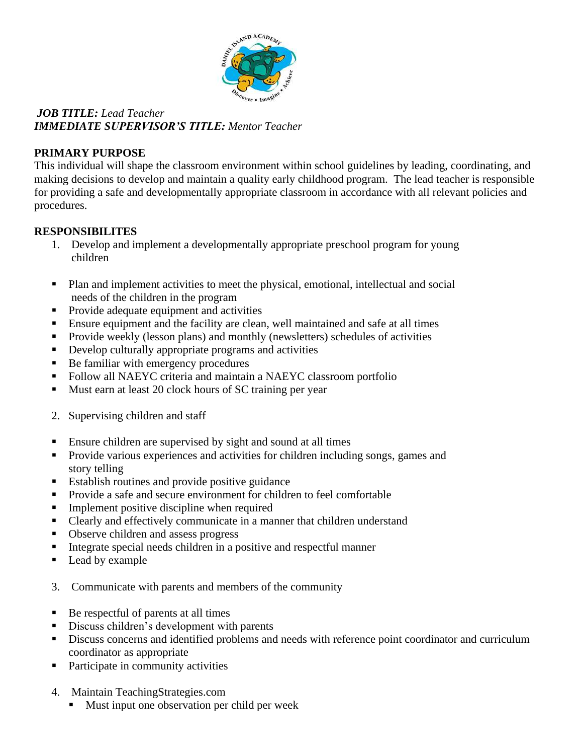

# *JOB TITLE: Lead Teacher IMMEDIATE SUPERVISOR'S TITLE: Mentor Teacher*

## **PRIMARY PURPOSE**

This individual will shape the classroom environment within school guidelines by leading, coordinating, and making decisions to develop and maintain a quality early childhood program. The lead teacher is responsible for providing a safe and developmentally appropriate classroom in accordance with all relevant policies and procedures.

# **RESPONSIBILITES**

- 1. Develop and implement a developmentally appropriate preschool program for young children
- Plan and implement activities to meet the physical, emotional, intellectual and social needs of the children in the program
- **Provide adequate equipment and activities**
- Ensure equipment and the facility are clean, well maintained and safe at all times
- Provide weekly (lesson plans) and monthly (newsletters) schedules of activities
- **•** Develop culturally appropriate programs and activities
- Be familiar with emergency procedures
- Follow all NAEYC criteria and maintain a NAEYC classroom portfolio
- Must earn at least 20 clock hours of SC training per year
- 2. Supervising children and staff
- **Ensure children are supervised by sight and sound at all times**
- **Provide various experiences and activities for children including songs, games and** story telling
- Establish routines and provide positive guidance
- **Provide a safe and secure environment for children to feel comfortable**
- **Implement positive discipline when required**
- Clearly and effectively communicate in a manner that children understand
- Observe children and assess progress
- $\blacksquare$  Integrate special needs children in a positive and respectful manner
- Lead by example
- 3. Communicate with parents and members of the community
- Be respectful of parents at all times
- Discuss children's development with parents
- Discuss concerns and identified problems and needs with reference point coordinator and curriculum coordinator as appropriate
- Participate in community activities
- 4. Maintain TeachingStrategies.com
	- Must input one observation per child per week